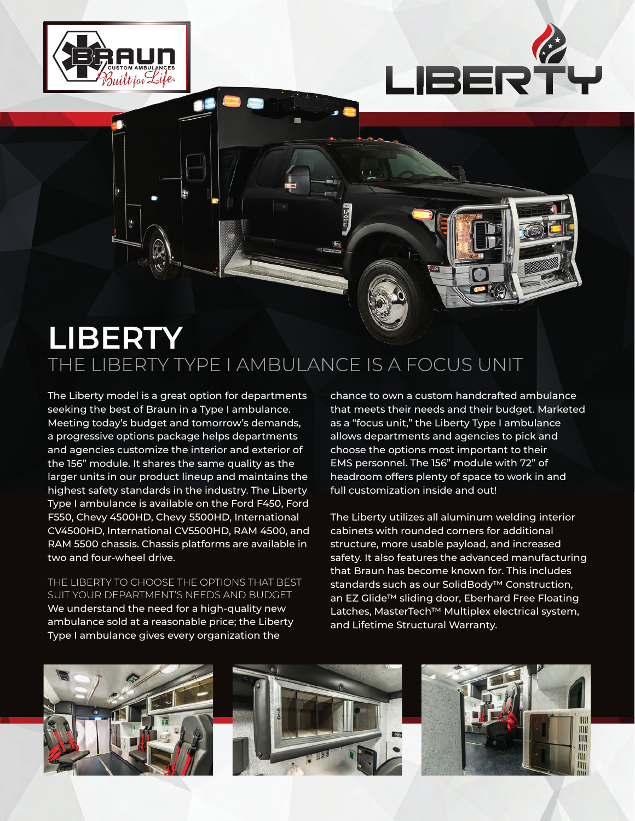



## **LIBERTY** THE LIBERTY TYPE I AMBULANCE IS A FOCUS UNIT

The Liberty model is a great option for departments seeking the best of Braun in a Type I ambulance. Meeting today's budget and tomorrow's demands, a progressive options package helps departments and agencies customize the interior and exterior of the 156" module. It shares the same quality as the larger units in our product lineup and maintains the highest safety standards in the industry. The Liberty Type I ambulance is available on the Ford F450, Ford F550, Chevy 4500HD, Chevy 5500HD, International CV4500HD, International CV5500HD, RAM 4500, and RAM 5500 chassis. Chassis platforms are available in two and four-wheel drive.

THE LIBERTY TO CHOOSE THE OPTIONS THAT BEST SUIT YOUR DEPARTMENT'S NEEDS AND BUDGET We understand the need for a high-quality new ambulance sold at a reasonable price; the Liberty Type I ambulance gives every organization the

chance to own a custom handcrafted ambulance that meets their needs and their budget. Marketed as a "focus unit," the Liberty Type I ambulance allows departments and agencies to pick and choose the options most important to their EMS personnel. The 156" module with 72" of headroom offers plenty of space to work in and full customization inside and out!

The Liberty utilizes all aluminum welding interior cabinets with rounded corners for additional structure, more usable payload, and increased safety. It also features the advanced manufacturing that Braun has become known for. This includes standards such as our SolidBody™ Construction, an EZ Glide™ sliding door, Eberhard Free Floating Latches, MasterTech™ Multiplex electrical system, and Lifetime Structural Warranty.